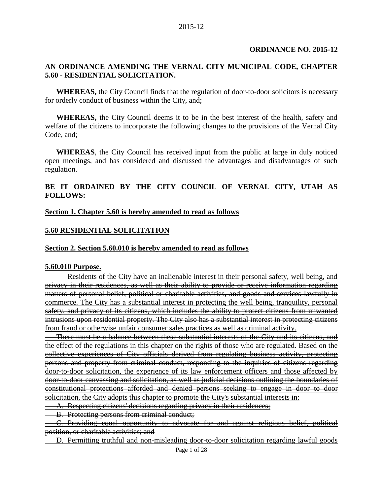### **ORDINANCE NO. 2015-12**

#### **AN ORDINANCE AMENDING THE VERNAL CITY MUNICIPAL CODE, CHAPTER 5.60 - RESIDENTIAL SOLICITATION.**

**WHEREAS,** the City Council finds that the regulation of door-to-door solicitors is necessary for orderly conduct of business within the City, and;

**WHEREAS,** the City Council deems it to be in the best interest of the health, safety and welfare of the citizens to incorporate the following changes to the provisions of the Vernal City Code, and;

**WHEREAS**, the City Council has received input from the public at large in duly noticed open meetings, and has considered and discussed the advantages and disadvantages of such regulation.

#### **BE IT ORDAINED BY THE CITY COUNCIL OF VERNAL CITY, UTAH AS FOLLOWS:**

#### **Section 1. Chapter 5.60 is hereby amended to read as follows**

#### **5.60 RESIDENTIAL SOLICITATION**

#### **Section 2. Section 5.60.010 is hereby amended to read as follows**

#### **5.60.010 Purpose.**

Residents of the City have an inalienable interest in their personal safety, well being, and privacy in their residences, as well as their ability to provide or receive information regarding matters of personal belief, political or charitable activities, and goods and services lawfully in commerce. The City has a substantial interest in protecting the well being, tranquility, personal safety, and privacy of its citizens, which includes the ability to protect citizens from unwanted intrusions upon residential property. The City also has a substantial interest in protecting citizens from fraud or otherwise unfair consumer sales practices as well as criminal activity.

There must be a balance between these substantial interests of the City and its citizens, and the effect of the regulations in this chapter on the rights of those who are regulated. Based on the collective experiences of City officials derived from regulating business activity, protecting persons and property from criminal conduct, responding to the inquiries of citizens regarding door-to-door solicitation, the experience of its law enforcement officers and those affected by door-to-door canvassing and solicitation, as well as judicial decisions outlining the boundaries of constitutional protections afforded and denied persons seeking to engage in door to door solicitation, the City adopts this chapter to promote the City's substantial interests in:

A. Respecting citizens' decisions regarding privacy in their residences;

B. Protecting persons from criminal conduct;

C. Providing equal opportunity to advocate for and against religious belief, political position, or charitable activities; and

D. Permitting truthful and non-misleading door-to-door solicitation regarding lawful goods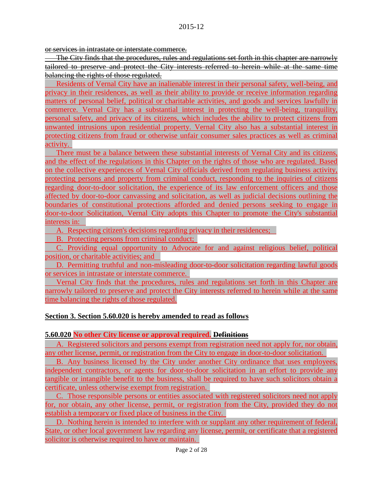or services in intrastate or interstate commerce.

The City finds that the procedures, rules and regulations set forth in this chapter are narrowly tailored to preserve and protect the City interests referred to herein while at the same time balancing the rights of those regulated.

Residents of Vernal City have an inalienable interest in their personal safety, well-being, and privacy in their residences, as well as their ability to provide or receive information regarding matters of personal belief, political or charitable activities, and goods and services lawfully in commerce. Vernal City has a substantial interest in protecting the well-being, tranquility, personal safety, and privacy of its citizens, which includes the ability to protect citizens from unwanted intrusions upon residential property. Vernal City also has a substantial interest in protecting citizens from fraud or otherwise unfair consumer sales practices as well as criminal activity.

There must be a balance between these substantial interests of Vernal City and its citizens, and the effect of the regulations in this Chapter on the rights of those who are regulated. Based on the collective experiences of Vernal City officials derived from regulating business activity, protecting persons and property from criminal conduct, responding to the inquiries of citizens regarding door-to-door solicitation, the experience of its law enforcement officers and those affected by door-to-door canvassing and solicitation, as well as judicial decisions outlining the boundaries of constitutional protections afforded and denied persons seeking to engage in door-to-door Solicitation, Vernal City adopts this Chapter to promote the City's substantial interests in:

A. Respecting citizen's decisions regarding privacy in their residences;

B. Protecting persons from criminal conduct;

C. Providing equal opportunity to Advocate for and against religious belief, political position, or charitable activities; and

D. Permitting truthful and non-misleading door-to-door solicitation regarding lawful goods or services in intrastate or interstate commerce.

Vernal City finds that the procedures, rules and regulations set forth in this Chapter are narrowly tailored to preserve and protect the City interests referred to herein while at the same time balancing the rights of those regulated.

## **Section 3. Section 5.60.020 is hereby amended to read as follows**

#### **5.60.020 No other City license or approval required. Definitions**

A. Registered solicitors and persons exempt from registration need not apply for, nor obtain, any other license, permit, or registration from the City to engage in door-to-door solicitation.

B. Any business licensed by the City under another City ordinance that uses employees, independent contractors, or agents for door-to-door solicitation in an effort to provide any tangible or intangible benefit to the business, shall be required to have such solicitors obtain a certificate, unless otherwise exempt from registration.

C. Those responsible persons or entities associated with registered solicitors need not apply for, nor obtain, any other license, permit, or registration from the City, provided they do not establish a temporary or fixed place of business in the City.

D. Nothing herein is intended to interfere with or supplant any other requirement of federal, State, or other local government law regarding any license, permit, or certificate that a registered solicitor is otherwise required to have or maintain.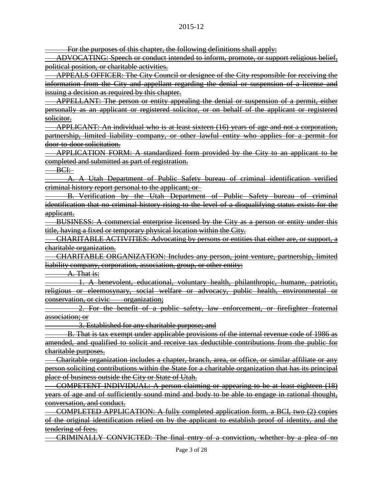For the purposes of this chapter, the following definitions shall apply:

ADVOCATING: Speech or conduct intended to inform, promote, or support religious belief, political position, or charitable activities.

APPEALS OFFICER: The City Council or designee of the City responsible for receiving the information from the City and appellant regarding the denial or suspension of a license and issuing a decision as required by this chapter.

APPELLANT: The person or entity appealing the denial or suspension of a permit, either personally as an applicant or registered solicitor, or on behalf of the applicant or registered solicitor.

APPLICANT: An individual who is at least sixteen (16) years of age and not a corporation, partnership, limited liability company, or other lawful entity who applies for a permit for door-to-door solicitation.

APPLICATION FORM: A standardized form provided by the City to an applicant to be completed and submitted as part of registration.

BCI:

A. A Utah Department of Public Safety bureau of criminal identification verified criminal history report personal to the applicant; or

B. Verification by the Utah Department of Public Safety bureau of criminal identification that no criminal history rising to the level of a disqualifying status exists for the applicant.

BUSINESS: A commercial enterprise licensed by the City as a person or entity under this title, having a fixed or temporary physical location within the City.

CHARITABLE ACTIVITIES: Advocating by persons or entities that either are, or support, a charitable organization.

CHARITABLE ORGANIZATION: Includes any person, joint venture, partnership, limited liability company, corporation, association, group, or other entity:

A. That is:

1. A benevolent, educational, voluntary health, philanthropic, humane, patriotic, religious or eleemosynary, social welfare or advocacy, public health, environmental or conservation, or civic organization;

2. For the benefit of a public safety, law enforcement, or firefighter fraternal association; or

3. Established for any charitable purpose; and

B. That is tax exempt under applicable provisions of the internal revenue code of 1986 as amended, and qualified to solicit and receive tax deductible contributions from the public for charitable purposes.

Charitable organization includes a chapter, branch, area, or office, or similar affiliate or any person soliciting contributions within the State for a charitable organization that has its principal place of business outside the City or State of Utah.

COMPETENT INDIVIDUAL: A person claiming or appearing to be at least eighteen (18) years of age and of sufficiently sound mind and body to be able to engage in rational thought, conversation, and conduct.

COMPLETED APPLICATION: A fully completed application form, a BCI, two (2) copies of the original identification relied on by the applicant to establish proof of identity, and the tendering of fees.

CRIMINALLY CONVICTED: The final entry of a conviction, whether by a plea of no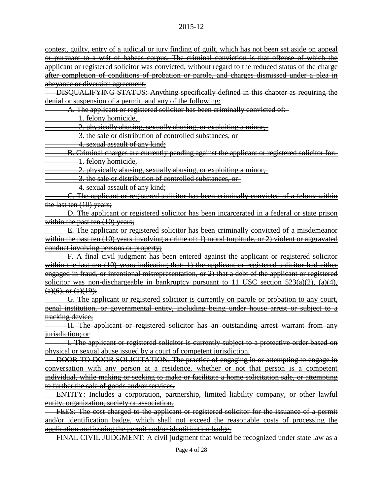contest, guilty, entry of a judicial or jury finding of guilt, which has not been set aside on appeal or pursuant to a writ of habeas corpus. The criminal conviction is that offense of which the applicant or registered solicitor was convicted, without regard to the reduced status of the charge after completion of conditions of probation or parole, and charges dismissed under a plea in abevance or diversion agreement.

DISQUALIFYING STATUS: Anything specifically defined in this chapter as requiring the denial or suspension of a permit, and any of the following:

A. The applicant or registered solicitor has been criminally convicted of:

1. felony homicide,

2. physically abusing, sexually abusing, or exploiting a minor,

3. the sale or distribution of controlled substances, or

4. sexual assault of any kind;

B. Criminal charges are currently pending against the applicant or registered solicitor for: 1. felony homicide,

2. physically abusing, sexually abusing, or exploiting a minor,

3. the sale or distribution of controlled substances, or

4. sexual assault of any kind;

C. The applicant or registered solicitor has been criminally convicted of a felony within the last ten  $(10)$  years;

D. The applicant or registered solicitor has been incarcerated in a federal or state prison within the past ten (10) years;

E. The applicant or registered solicitor has been criminally convicted of a misdemeanor within the past ten (10) years involving a crime of: 1) moral turpitude, or 2) violent or aggravated conduct involving persons or property;

F. A final civil judgment has been entered against the applicant or registered solicitor within the last ten (10) years indicating that: 1) the applicant or registered solicitor had either engaged in fraud, or intentional misrepresentation, or 2) that a debt of the applicant or registered solicitor was non-dischargeable in bankruptcy pursuant to 11 USC section 523(a)(2), (a)(4),  $(a)(6)$ , or  $(a)(19)$ ;

G. The applicant or registered solicitor is currently on parole or probation to any court, penal institution, or governmental entity, including being under house arrest or subject to a tracking device;

H. The applicant or registered solicitor has an outstanding arrest warrant from any jurisdiction; or

I. The applicant or registered solicitor is currently subject to a protective order based on physical or sexual abuse issued by a court of competent jurisdiction.

DOOR-TO-DOOR SOLICITATION: The practice of engaging in or attempting to engage in conversation with any person at a residence, whether or not that person is a competent individual, while making or seeking to make or facilitate a home solicitation sale, or attempting to further the sale of goods and/or services.

ENTITY: Includes a corporation, partnership, limited liability company, or other lawful entity, organization, society or association.

FEES: The cost charged to the applicant or registered solicitor for the issuance of a permit and/or identification badge, which shall not exceed the reasonable costs of processing the application and issuing the permit and/or identification badge.

FINAL CIVIL JUDGMENT: A civil judgment that would be recognized under state law as a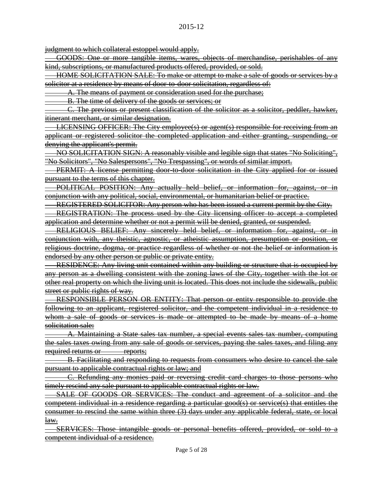judgment to which collateral estoppel would apply.

GOODS: One or more tangible items, wares, objects of merchandise, perishables of any kind, subscriptions, or manufactured products offered, provided, or sold.

HOME SOLICITATION SALE: To make or attempt to make a sale of goods or services by a solicitor at a residence by means of door-to-door solicitation, regardless of:

A. The means of payment or consideration used for the purchase;

B. The time of delivery of the goods or services; or

C. The previous or present classification of the solicitor as a solicitor, peddler, hawker, itinerant merchant, or similar designation.

LICENSING OFFICER: The City employee(s) or agent(s) responsible for receiving from an applicant or registered solicitor the completed application and either granting, suspending, or denying the applicant's permit.

NO SOLICITATION SIGN: A reasonably visible and legible sign that states "No Soliciting", "No Solicitors", "No Salespersons", "No Trespassing", or words of similar import.

PERMIT: A license permitting door to door solicitation in the City applied for or issued pursuant to the terms of this chapter.

POLITICAL POSITION: Any actually held belief, or information for, against, or in conjunction with any political, social, environmental, or humanitarian belief or practice.

REGISTERED SOLICITOR: Any person who has been issued a current permit by the City.

REGISTRATION: The process used by the City licensing officer to accept a completed application and determine whether or not a permit will be denied, granted, or suspended.

RELIGIOUS BELIEF: Any sincerely held belief, or information for, against, or in conjunction with, any theistic, agnostic, or atheistic assumption, presumption or position, or religious doctrine, dogma, or practice regardless of whether or not the belief or information is endorsed by any other person or public or private entity.

RESIDENCE: Any living unit contained within any building or structure that is occupied by any person as a dwelling consistent with the zoning laws of the City, together with the lot or other real property on which the living unit is located. This does not include the sidewalk, public street or public rights of way.

RESPONSIBLE PERSON OR ENTITY: That person or entity responsible to provide the following to an applicant, registered solicitor, and the competent individual in a residence to whom a sale of goods or services is made or attempted to be made by means of a home solicitation sale:

A. Maintaining a State sales tax number, a special events sales tax number, computing the sales taxes owing from any sale of goods or services, paying the sales taxes, and filing any required returns or reports;

B. Facilitating and responding to requests from consumers who desire to cancel the sale pursuant to applicable contractual rights or law; and

C. Refunding any monies paid or reversing credit card charges to those persons who timely rescind any sale pursuant to applicable contractual rights or law.

SALE OF GOODS OR SERVICES: The conduct and agreement of a solicitor and the competent individual in a residence regarding a particular good(s) or service(s) that entitles the consumer to rescind the same within three (3) days under any applicable federal, state, or local law.

SERVICES: Those intangible goods or personal benefits offered, provided, or sold to a competent individual of a residence.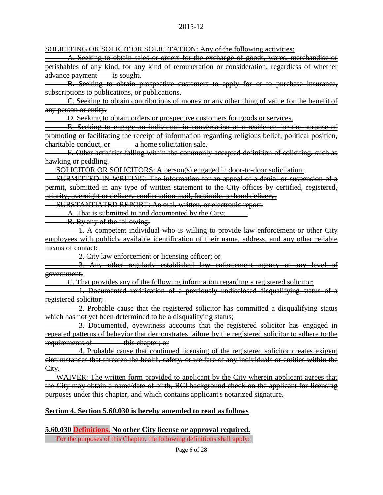SOLICITING OR SOLICIT OR SOLICITATION: Any of the following activities:

A. Seeking to obtain sales or orders for the exchange of goods, wares, merchandise or perishables of any kind, for any kind of remuneration or consideration, regardless of whether advance payment is sought.

B. Seeking to obtain prospective customers to apply for or to purchase insurance, subscriptions to publications, or publications.

C. Seeking to obtain contributions of money or any other thing of value for the benefit of any person or entity.

D. Seeking to obtain orders or prospective customers for goods or services.

E. Seeking to engage an individual in conversation at a residence for the purpose of promoting or facilitating the receipt of information regarding religious belief, political position, charitable conduct, or a home solicitation sale.

F. Other activities falling within the commonly accepted definition of soliciting, such as hawking or peddling.

SOLICITOR OR SOLICITORS: A person(s) engaged in door-to-door solicitation.

SUBMITTED IN WRITING: The information for an appeal of a denial or suspension of a permit, submitted in any type of written statement to the City offices by certified, registered, priority, overnight or delivery confirmation mail, facsimile, or hand delivery.

SUBSTANTIATED REPORT: An oral, written, or electronic report:

A. That is submitted to and documented by the City;

B. By any of the following:

1. A competent individual who is willing to provide law enforcement or other City employees with publicly available identification of their name, address, and any other reliable means of contact;

2. City law enforcement or licensing officer; or

3. Any other regularly established law enforcement agency at any level of government;

C. That provides any of the following information regarding a registered solicitor:

1. Documented verification of a previously undisclosed disqualifying status of a registered solicitor;

2. Probable cause that the registered solicitor has committed a disqualifying status which has not yet been determined to be a disqualifying status;

3. Documented, eyewitness accounts that the registered solicitor has engaged in repeated patterns of behavior that demonstrates failure by the registered solicitor to adhere to the requirements of this chapter; or

4. Probable cause that continued licensing of the registered solicitor creates exigent circumstances that threaten the health, safety, or welfare of any individuals or entities within the City.

WAIVER: The written form provided to applicant by the City wherein applicant agrees that the City may obtain a name/date of birth, BCI background check on the applicant for licensing purposes under this chapter, and which contains applicant's notarized signature.

## **Section 4. Section 5.60.030 is hereby amended to read as follows**

**5.60.030 Definitions. No other City license or approval required.** For the purposes of this Chapter, the following definitions shall apply: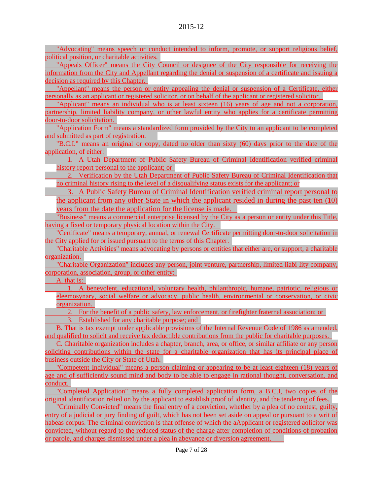"Advocating" means speech or conduct intended to inform, promote, or support religious belief, political position, or charitable activities.

"Appeals Officer" means the City Council or designee of the City responsible for receiving the information from the City and Appellant regarding the denial or suspension of a certificate and issuing a decision as required by this Chapter.

"Appellant" means the person or entity appealing the denial or suspension of a Certificate, either personally as an applicant or registered solicitor, or on behalf of the applicant or registered solicitor.

"Applicant" means an individual who is at least sixteen (16) years of age and not a corporation, partnership, limited liability company, or other lawful entity who applies for a certificate permitting door-to-door solicitation.

"Application Form" means a standardized form provided by the City to an applicant to be completed and submitted as part of registration.

"B.C.I." means an original or copy, dated no older than sixty (60) days prior to the date of the application, of either:

1. A Utah Department of Public Safety Bureau of Criminal Identification verified criminal history report personal to the applicant; or

2. Verification by the Utah Department of Public Safety Bureau of Criminal Identification that no criminal history rising to the level of a disqualifying status exists for the applicant; or

3. A Public Safety Bureau of Criminal Identification verified criminal report personal to the applicant from any other State in which the applicant resided in during the past ten (10) years from the date the application for the license is made.

"Business" means a commercial enterprise licensed by the City as a person or entity under this Title, having a fixed or temporary physical location within the City.

"Certificate" means a temporary, annual, or renewal Certificate permitting door-to-door solicitation in the City applied for or issued pursuant to the terms of this Chapter.

"Charitable Activities" means advocating by persons or entities that either are, or support, a charitable organization.

"Charitable Organization" includes any person, joint venture, partnership, limited liabi Iity company, corporation, association, group, or other entity:

A. that is:

1. A benevolent, educational, voluntary health, philanthropic, humane, patriotic, religious or eleemosynary, social welfare or advocacy, public health, environmental or conservation, or civic organization.

2. For the benefit of a public safety, law enforcement, or firefighter fraternal association; or 3. Established for any charitable purpose; and

B. That is tax exempt under applicable provisions of the Internal Revenue Code of 1986 as amended, and qualified to solicit and receive tax deductible contributions from the public for charitable purposes.

C. Charitable organization includes a chapter, branch, area, or office, or similar affiliate or any person soliciting contributions within the state for a charitable organization that has its principal place of business outside the City or State of Utah.

"Competent Individual" means a person claiming or appearing to be at least eighteen (18) years of age and of sufficiently sound mind and body to be able to engage in rational thought, conversation, and conduct.

"Completed Application" means a fully completed application form, a B.C.I, two copies of the original identification relied on by the applicant to establish proof of identity, and the tendering of fees.

"Criminally Convicted" means the final entry of a conviction, whether by a plea of no contest, guilty, entry of a judicial or jury finding of guilt, which has not been set aside on appeal or pursuant to a writ of habeas corpus. The criminal conviction is that offense of which the aApplicant or registered aolicitor was convicted, without regard to the reduced status of the charge after completion of conditions of probation or parole, and charges dismissed under a plea in abeyance or diversion agreement.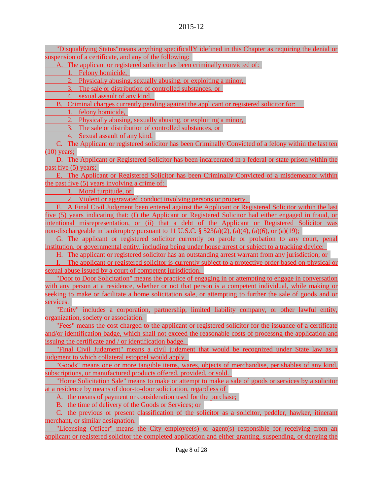"Disqualifying Status"means anything specificallY idefined in this Chapter as requiring the denial or suspension of a certificate, and any of the following:

A. The applicant or registered solicitor has been criminally convicted of:

1. Felony homicide,

2. Physically abusing, sexually abusing, or exploiting a minor,

3. The sale or distribution of controlled substances, or

4. sexual assault of any kind.

B. Criminal charges currently pending against the applicant or registered solicitor for:

1. felony homicide,

2. Physically abusing, sexually abusing, or exploiting a minor,

3. The sale or distribution of controlled substances, or

4. Sexual assault of any kind.

C. The Applicant or registered solicitor has been Criminally Convicted of a felony within the last ten  $(10)$  years;

D. The Applicant or Registered Solicitor has been incarcerated in a federal or state prison within the past five (5) years;

E. The Applicant or Registered Solicitor has been Criminally Convicted of a misdemeanor within the past five (5) years involving a crime of:

1. Moral turpitude, or

2. Violent or aggravated conduct involving persons or property.

F. A Final Civil Judgment been entered against the Applicant or Registered Solicitor within the last five (5) years indicating that: (I) the Applicant or Registered Solicitor had either engaged in fraud, or intentional misrepresentation, or (ii) that a debt of the Applicant or Registered Solicitor was non-dischargeable in bankruptcy pursuant to 11 U.S.C.  $\S$  523(a)(2), (a)(4), (a)(6), or (a)(19);

G. The applicant or registered solicitor currently on parole or probation to any court, penal institution, or governmental entity, including being under house arrest or subject to a tracking device;

H. The applicant or registered solicitor has an outstanding arrest warrant from any jurisdiction; or

The applicant or registered solicitor is currently subject to a protective order based on physical or sexual abuse issued by a court of competent jurisdiction.

"Door to Door Solicitation" means the practice of engaging in or attempting to engage in conversation with any person at a residence, whether or not that person is a competent individual, while making or seeking to make or facilitate a home solicitation sale, or attempting to further the sale of goods and or services.

"Entity" includes a corporation, partnership, limited liability company, or other lawful entity, organization, society or association.

"Fees" means the cost charged to the applicant or registered solicitor for the issuance of a certificate and/or identification badge, which shall not exceed the reasonable costs of processng the application and issuing the certificate and / or identification badge.

"Final Civil Judgment" means a civil judgment that would be recognized under State law as a judgment to which collateral estoppel would apply.

"Goods" means one or more tangible items, wares, objects of merchandise, perishables of any kind, subscriptions, or manufactured products offered, provided, or sold.

"Home Solicitation Sale" means to make or attempt to make a sale of goods or services by a solicitor at a residence by means of door-to-door solicitation, regardless of

A. the means of payment or consideration used for the purchase;

B. the time of delivery of the Goods or Services; or

C. the previous or present classification of the solicitor as a solicitor, peddler, hawker, itinerant merchant, or similar designation.

"Licensing Officer" means the City employee(s) or agent(s) responsible for receiving from an applicant or registered solicitor the completed application and either granting, suspending, or denying the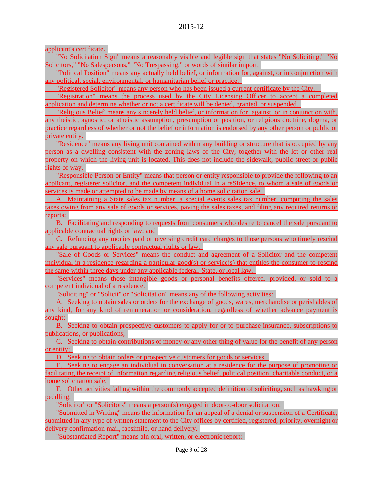applicant's certificate.

"No Solicitation Sign" means a reasonably visible and legible sign that states "No Soliciting," "No Solicitors," "No Salespersons," "No Trespassing," or words of similar import.

"Political Position" means any actually held belief, or information for, against, or in conjunction with any political, social, environmental, or humanitarian belief or practice.

"Registered Solicitor" means any person who has been issued a current certificate by the City.

"Registration" means the process used by the City Licensing Officer to accept a completed application and determine whether or not a certificate will be denied, granted, or suspended.

"Religious Belief' means any sincerely held belief, or information for, against, or in conjunction with, any theistic, agnostic, or atheistic assumption, presumption or position, or religious doctrine, dogma, or practice regardless of whether or not the belief or information is endorsed by any other person or public or private entity.

"Residence" means any living unit contained within any building or structure that is occupied by any person as a dwelling consistent with the zoning laws of the City, together with the lot or other real property on which the living unit is located. This does not include the sidewalk, public street or public rights of way.

"Responsible Person or Entity" means that person or entity responsible to provide the following to an applicant, registerer solicitor, and the competent individual in a reSidence, to whom a sale of goods or services is made or attempted to be made by means of a home solicitation sale:

A. Maintaining a State sales tax number, a special events sales tax number, computing the sales taxes owing from any sale of goods or services, paying the sales taxes, and filing any required returns or reports;

B. Facilitating and responding to requests from consumers who desire to cancel the sale pursuant to applicable contractual rights or law; and

C. Refunding any monies paid or reversing credit card charges to those persons who timely rescind any sale pursuant to applicable contractual rights or law.

"Sale of Goods or Services" means the conduct and agreement of a Solicitor and the competent individual in a residence regarding a particular good(s) or service(s) that entitles the consumer to rescind the same within three days under any applicable federal, State, or local law.

"Services" means those intangible goods or personal benefits offered, provided, or sold to a competent individual of a residence.

"Soliciting" or "Solicit" or "Solicitation" means any of the following activities:

A. Seeking to obtain sales or orders for the exchange of goods, wares, merchandise or perishables of any kind, for any kind of remuneration or consideration, regardless of whether advance payment is sought;

B. Seeking to obtain prospective customers to apply for or to purchase insurance, subscriptions to publications, or publications;

C. Seeking to obtain contributions of money or any other thing of value for the benefit of any person or entity;

D. Seeking to obtain orders or prospective customers for goods or services.

E. Seeking to engage an individual in conversation at a residence for the purpose of promoting or facilitating the receipt of information regarding religious belief, political position, charitable conduct, or a home solicitation sale.

F. Other activities falling within the commonly accepted definition of soliciting, such as hawking or peddling.

"Solicitor" or "Solicitors" means a person(s) engaged in door-to-door solicitation.

"Submitted in Writing" means the information for an appeal of a denial or suspension of a Certificate, submitted in any type of written statement to the City offices by certified, registered, priority, overnight or delivery confirmation mail, facsimile, or hand delivery.

"Substantiated Report" means aln oral, written, or electronic report: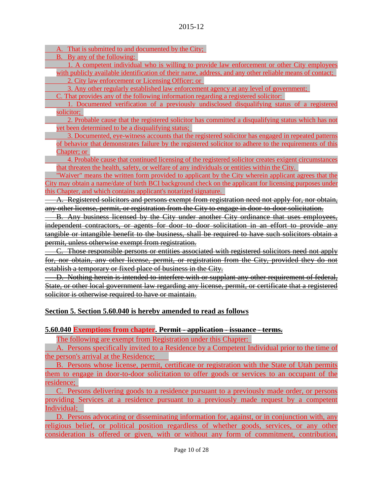A. That is submitted to and documented by the City;

B. By any of the following:

1. A competent individual who is willing to provide law enforcement or other City employees with publicly available identification of their name, address, and any other reliable means of contact; 2. City law enforcement or Licensing Officer; or

3. Any other regularly established law enforcement agency at any level of government;

C. That provides any of the following information regarding a registered solicitor:

1. Documented verification of a previously undisclosed disqualifying status of a registered solicitor;

2. Probable cause that the registered solicitor has committed a disqualifying status which has not yet been determined to be a disqualifying status;

3. Documented, eye-witness accounts that the registered solicitor has engaged in repeated patterns of behavior that demonstrates failure by the registered solicitor to adhere to the requirements of this Chapter; or

4. Probable cause that continued licensing of the registered solicitor creates exigent circumstances that threaten the health, safety, or welfare of any individuals or entities within the City.

"Waiver" means the written form provided to applicant by the City wherein applicant agrees that the City may obtain a name/date of birth BCI background check on the applicant for licensing purposes under this Chapter, and which contains applicant's notarized signature.

A. Registered solicitors and persons exempt from registration need not apply for, nor obtain, any other license, permit, or registration from the City to engage in door-to-door solicitation.

B. Any business licensed by the City under another City ordinance that uses employees, independent contractors, or agents for door to door solicitation in an effort to provide any tangible or intangible benefit to the business, shall be required to have such solicitors obtain a permit, unless otherwise exempt from registration.

C. Those responsible persons or entities associated with registered solicitors need not apply for, nor obtain, any other license, permit, or registration from the City, provided they do not establish a temporary or fixed place of business in the City.

D. Nothing herein is intended to interfere with or supplant any other requirement of federal, State, or other local government law regarding any license, permit, or certificate that a registered solicitor is otherwise required to have or maintain.

## **Section 5. Section 5.60.040 is hereby amended to read as follows**

## **5.60.040 Exemptions from chapter. Permit - application - issuance - terms.**

The following are exempt from Registration under this Chapter:

A. Persons specifically invited to a Residence by a Competent Individual prior to the time of the person's arrival at the Residence;

B. Persons whose license, permit, certificate or registration with the State of Utah permits them to engage in door-to-door solicitation to offer goods or services to an occupant of the residence;

C. Persons delivering goods to a residence pursuant to a previously made order, or persons providing Services at a residence pursuant to a previously made request by a competent Individual;

D. Persons advocating or disseminating information for, against, or in conjunction with, any religious belief, or political position regardless of whether goods, services, or any other consideration is offered or given, with or without any form of commitment, contribution,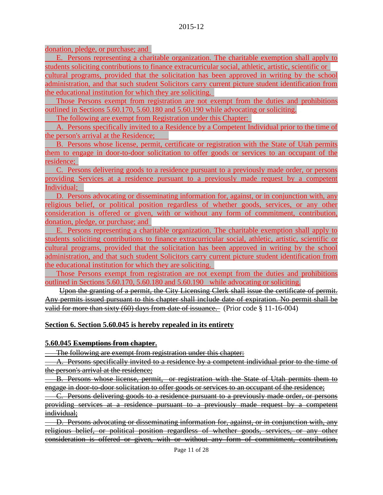donation, pledge, or purchase; and

E. Persons representing a charitable organization. The charitable exemption shall apply to students soliciting contributions to finance extracurricular social, athletic, artistic, scientific or

cultural programs, provided that the solicitation has been approved in writing by the school administration, and that such student Solicitors carry current picture student identification from the educational institution for which they are soliciting.

Those Persons exempt from registration are not exempt from the duties and prohibitions outlined in Sections 5.60.170, 5.60.180 and 5.60.190 while advocating or soliciting.

The following are exempt from Registration under this Chapter:

A. Persons specifically invited to a Residence by a Competent Individual prior to the time of the person's arrival at the Residence;

B. Persons whose license, permit, certificate or registration with the State of Utah permits them to engage in door-to-door solicitation to offer goods or services to an occupant of the residence;

C. Persons delivering goods to a residence pursuant to a previously made order, or persons providing Services at a residence pursuant to a previously made request by a competent Individual;

D. Persons advocating or disseminating information for, against, or in conjunction with, any religious belief, or political position regardless of whether goods, services, or any other consideration is offered or given, with or without any form of commitment, contribution, donation, pledge, or purchase; and

E. Persons representing a charitable organization. The charitable exemption shall apply to students soliciting contributions to finance extracurricular social, athletic, artistic, scientific or cultural programs, provided that the solicitation has been approved in writing by the school administration, and that such student Solicitors carry current picture student identification from the educational institution for which they are soliciting.

Those Persons exempt from registration are not exempt from the duties and prohibitions outlined in Sections 5.60.170, 5.60.180 and 5.60.190 while advocating or soliciting.

Upon the granting of a permit, the City Licensing Clerk shall issue the certificate of permit. Any permits issued pursuant to this chapter shall include date of expiration. No permit shall be valid for more than sixty (60) days from date of issuance. (Prior code § 11-16-004)

## **Section 6. Section 5.60.045 is hereby repealed in its entirety**

## **5.60.045 Exemptions from chapter.**

The following are exempt from registration under this chapter:

A. Persons specifically invited to a residence by a competent individual prior to the time of the person's arrival at the residence;

B. Persons whose license, permit, or registration with the State of Utah permits them to engage in door-to-door solicitation to offer goods or services to an occupant of the residence;

C. Persons delivering goods to a residence pursuant to a previously made order, or persons providing services at a residence pursuant to a previously made request by a competent individual;

D. Persons advocating or disseminating information for, against, or in conjunction with, any religious belief, or political position regardless of whether goods, services, or any other consideration is offered or given, with or without any form of commitment, contribution,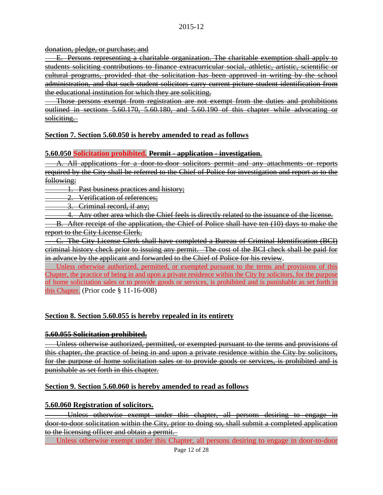donation, pledge, or purchase; and

E. Persons representing a charitable organization. The charitable exemption shall apply to students soliciting contributions to finance extracurricular social, athletic, artistic, scientific or cultural programs, provided that the solicitation has been approved in writing by the school administration, and that such student solicitors carry current picture student identification from the educational institution for which they are soliciting.

Those persons exempt from registration are not exempt from the duties and prohibitions outlined in sections 5.60.170, 5.60.180, and 5.60.190 of this chapter while advocating or soliciting.

## **Section 7. Section 5.60.050 is hereby amended to read as follows**

## **5.60.050 Solicitation prohibited. Permit - application - investigation.**

A. All applications for a door-to-door solicitors permit and any attachments or reports required by the City shall be referred to the Chief of Police for investigation and report as to the following:

1. Past business practices and history;

2. Verification of references;

3. Criminal record, if any;

4. Any other area which the Chief feels is directly related to the issuance of the license.

B. After receipt of the application, the Chief of Police shall have ten (10) days to make the report to the City License Clerk.

C. The City License Clerk shall have completed a Bureau of Criminal Identification (BCI) criminal history check prior to issuing any permit. The cost of the BCI check shall be paid for in advance by the applicant and forwarded to the Chief of Police for his review.

Unless otherwise authorized, permitted, or exempted pursuant to the terms and provisions of this Chapter, the practice of being in and upon a private residence within the City by solicitors, for the purpose of home solicitation sales or to provide goods or services, is prohibited and is punishable as set forth in this Chapter. (Prior code § 11-16-008)

# **Section 8. Section 5.60.055 is hereby repealed in its entirety**

## **5.60.055 Solicitation prohibited.**

Unless otherwise authorized, permitted, or exempted pursuant to the terms and provisions of this chapter, the practice of being in and upon a private residence within the City by solicitors, for the purpose of home solicitation sales or to provide goods or services, is prohibited and is punishable as set forth in this chapter.

## **Section 9. Section 5.60.060 is hereby amended to read as follows**

## **5.60.060 Registration of solicitors.**

Unless otherwise exempt under this chapter, all persons desiring to engage in door-to-door solicitation within the City, prior to doing so, shall submit a completed application to the licensing officer and obtain a permit.

Unless otherwise exempt under this Chapter, all persons desiring to engage in door-to-door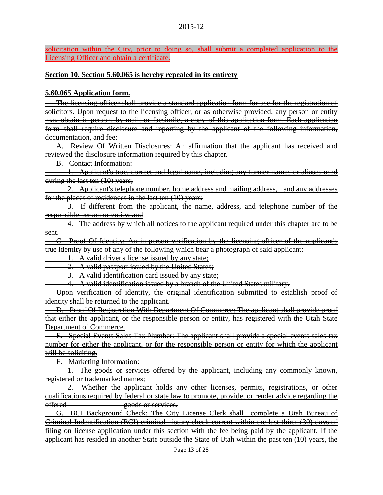solicitation within the City, prior to doing so, shall submit a completed application to the Licensing Officer and obtain a certificate.

#### **Section 10. Section 5.60.065 is hereby repealed in its entirety**

#### **5.60.065 Application form.**

The licensing officer shall provide a standard application form for use for the registration of solicitors. Upon request to the licensing officer, or as otherwise provided, any person or entity may obtain in person, by mail, or facsimile, a copy of this application form. Each application form shall require disclosure and reporting by the applicant of the following information, documentation, and fee:

A. Review Of Written Disclosures: An affirmation that the applicant has received and reviewed the disclosure information required by this chapter.

B. Contact Information:

1. Applicant's true, correct and legal name, including any former names or aliases used during the last ten (10) years;

2. Applicant's telephone number, home address and mailing address, and any addresses for the places of residences in the last ten (10) years;

3. If different from the applicant, the name, address, and telephone number of the responsible person or entity; and

4. The address by which all notices to the applicant required under this chapter are to be sent.

C. Proof Of Identity: An in-person verification by the licensing officer of the applicant's true identity by use of any of the following which bear a photograph of said applicant:

1. A valid driver's license issued by any state;

2. A valid passport issued by the United States;

3. A valid identification card issued by any state;

4. A valid identification issued by a branch of the United States military.

Upon verification of identity, the original identification submitted to establish proof of identity shall be returned to the applicant.

D. Proof Of Registration With Department Of Commerce: The applicant shall provide proof that either the applicant, or the responsible person or entity, has registered with the Utah State Department of Commerce.

E. Special Events Sales Tax Number: The applicant shall provide a special events sales tax number for either the applicant, or for the responsible person or entity for which the applicant will be soliciting.

F. Marketing Information:

1. The goods or services offered by the applicant, including any commonly known, registered or trademarked names;

2. Whether the applicant holds any other licenses, permits, registrations, or other qualifications required by federal or state law to promote, provide, or render advice regarding the offered goods or services.

G. BCI Background Check: The City License Clerk shall complete a Utah Bureau of Criminal Indentification (BCI) criminal history check current within the last thirty (30) days of filing on license application under this section with the fee being paid by the applicant. If the applicant has resided in another State outside the State of Utah within the past ten (10) years, the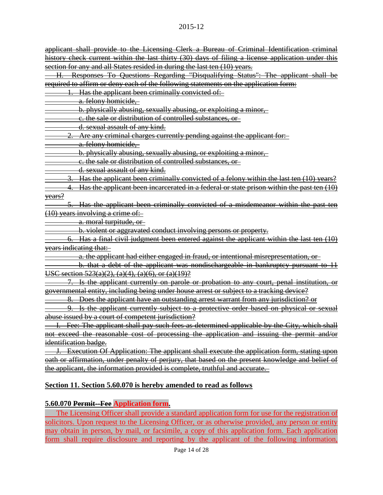#### 2015-12

applicant shall provide to the Licensing Clerk a Bureau of Criminal Identification criminal history check current within the last thirty (30) days of filing a license application under this section for any and all States resided in during the last ten (10) years.

H. Responses To Questions Regarding "Disqualifying Status": The applicant shall be required to affirm or deny each of the following statements on the application form:

1. Has the applicant been criminally convicted of:

a. felony homicide,

b. physically abusing, sexually abusing, or exploiting a minor,

c. the sale or distribution of controlled substances, or

d. sexual assault of any kind.

2. Are any criminal charges currently pending against the applicant for:

a. felony homicide,

b. physically abusing, sexually abusing, or exploiting a minor,

c. the sale or distribution of controlled substances, or

d. sexual assault of any kind.

3. Has the applicant been criminally convicted of a felony within the last ten (10) years?

4. Has the applicant been incarcerated in a federal or state prison within the past ten (10) years?

5. Has the applicant been criminally convicted of a misdemeanor within the past ten (10) years involving a crime of:

a. moral turpitude, or

b. violent or aggravated conduct involving persons or property.

6. Has a final civil judgment been entered against the applicant within the last ten (10) years indicating that:

a. the applicant had either engaged in fraud, or intentional misrepresentation, or

b. that a debt of the applicant was nondischargeable in bankruptcy pursuant to 11 USC section 523(a)(2), (a)(4), (a)(6), or (a)(19)?

Is the applicant currently on parole or probation to any court, penal institution, or governmental entity, including being under house arrest or subject to a tracking device?

8. Does the applicant have an outstanding arrest warrant from any jurisdiction? or

9. Is the applicant currently subject to a protective order based on physical or sexual abuse issued by a court of competent jurisdiction?

Fee: The applicant shall pay such fees as determined applicable by the City, which shall not exceed the reasonable cost of processing the application and issuing the permit and/or identification badge.

J. Execution Of Application: The applicant shall execute the application form, stating upon oath or affirmation, under penalty of perjury, that based on the present knowledge and belief of the applicant, the information provided is complete, truthful and accurate.

## **Section 11. Section 5.60.070 is hereby amended to read as follows**

## **5.60.070 Permit--Fee Application form.**

The Licensing Officer shall provide a standard application form for use for the registration of solicitors. Upon request to the Licensing Officer, or as otherwise provided, any person or entity may obtain in person, by mail, or facsimile, a copy of this application form. Each application form shall require disclosure and reporting by the applicant of the following information,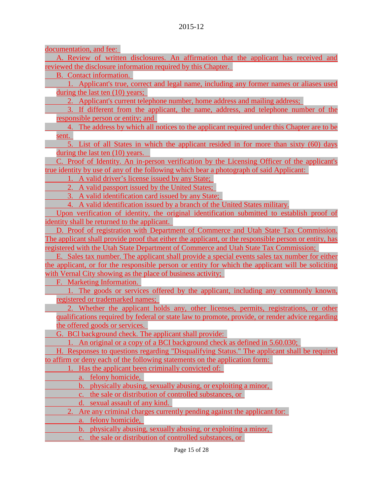documentation, and fee:

A. Review of written disclosures. An affirmation that the applicant has received and reviewed the disclosure information required by this Chapter.

B. Contact information.

1. Applicant's true, correct and legal name, including any former names or aliases used during the last ten (10) years;

2. Applicant's current telephone number, home address and mailing address;

3. If different from the applicant, the name, address, and telephone number of the responsible person or entity; and

4. The address by which all notices to the applicant required under this Chapter are to be sent.

5. List of all States in which the applicant resided in for more than sixty (60) days during the last ten (10) years.

C. Proof of Identity. An in-person verification by the Licensing Officer of the applicant's true identity by use of any of the following which bear a photograph of said Applicant:

1. A valid driver's license issued by any State;

2. A valid passport issued by the United States;

3. A valid identification card issued by any State;

4. A valid identification issued by a branch of the United States military.

Upon verification of identity, the original identification submitted to establish proof of identity shall be returned to the applicant.

D. Proof of registration with Department of Commerce and Utah State Tax Commission. The applicant shall provide proof that either the applicant, or the responsible person or entity, has registered with the Utah State Department of Commerce and Utah State Tax Commission;

E. Sales tax number. The applicant shall provide a special events sales tax number for either the applicant, or for the responsible person or entity for which the applicant will be soliciting with Vernal City showing as the place of business activity;

F. Marketing Information.

1. The goods or services offered by the applicant, including any commonly known, registered or trademarked names;

2. Whether the applicant holds any, other licenses, permits, registrations, or other qualifications required by federal or state law to promote, provide, or render advice regarding the offered goods or services.

G. BCl background check. The applicant shall provide:

1. An original or a copy of a BCI background check as defined in 5.60.030;

H. Responses to questions regarding "Disqualifying Status." The applicant shall be required to affirm or deny each of the following statements on the application form:

1. Has the applicant been criminally convicted of:

a. felony homicide,

b. physically abusing, sexually abusing, or exploiting a minor,

c. the sale or distribution of controlled substances, or

d. sexual assault of any kind.

2. Are any criminal charges currently pending against the applicant for:

a. felony homicide,

b. physically abusing, sexually abusing, or exploiting a minor,

c. the sale or distribution of controlled substances, or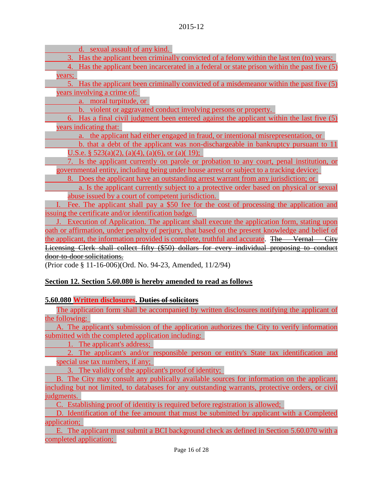d. sexual assault of any kind.

3. Has the applicant been criminally convicted of a felony within the last ten (to) years;

4. Has the applicant been incarcerated in a federal or state prison within the past five (5) years;

5. Has the applicant been criminally convicted of a misdemeanor within the past five (5) years involving a crime of:

a. moral turpitude, or

b. violent or aggravated conduct involving persons or property.

6. Has a final civil judgment been entered against the applicant within the last five (5) years indicating that:

a. the applicant had either engaged in fraud, or intentional misrepresentation, or

b. that a debt of the applicant was non-dischargeable in bankruptcy pursuant to 11 U.S.e. §  $523(a)(2)$ ,  $(a)(4)$ ,  $(a)(6)$ , or  $(a)(19)$ ;

7. Is the applicant currently on parole or probation to any court, penal institution, or governmental entity, including being under house arrest or subject to a tracking device;

8. Does the applicant have an outstanding arrest warrant from any jurisdiction; or

a. Is the applicant currently subject to a protective order based on physical or sexual abuse issued by a court of competent jurisdiction.

Fee. The applicant shall pay a \$50 fee for the cost of processing the application and issuing the certificate and/or identification badge.

J. Execution of Application. The applicant shall execute the application form, stating upon oath or affirmation, under penalty of perjury, that based on the present knowledge and belief of the applicant, the information provided is complete, truthful and accurate. The Vernal City Licensing Clerk shall collect fifty (\$50) dollars for every individual proposing to conduct door-to-door solicitations.

(Prior code § 11-16-006)(Ord. No. 94-23, Amended, 11/2/94)

# **Section 12. Section 5.60.080 is hereby amended to read as follows**

# **5.60.080 Written disclosures. Duties of solicitors**

The application form shall be accompanied by written disclosures notifying the applicant of the following:

A. The applicant's submission of the application authorizes the City to verify information submitted with the completed application including:

1. The applicant's address;

2. The applicant's and/or responsible person or entity's State tax identification and special use tax numbers, if any;

3. The validity of the applicant's proof of identity;

B. The City may consult any publically available sources for information on the applicant, including but not limited, to databases for any outstanding warrants, protective orders, or civil judgments.

C. Establishing proof of identity is required before registration is allowed;

D. Identification of the fee amount that must be submitted by applicant with a Completed application;

E. The applicant must submit a BCI background check as defined in Section 5.60.070 with a completed application;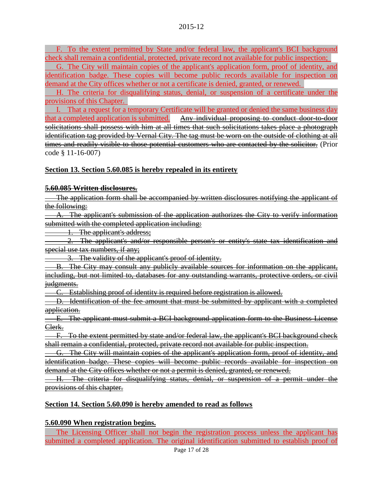F. To the extent permitted by State and/or federal law, the applicant's BCI background check shall remain a confidential, protected, private record not available for public inspection;

G. The City will maintain copies of the applicant's application form, proof of identity, and identification badge. These copies will become public records available for inspection on demand at the City offices whether or not a certificate is denied, granted, or renewed.

H. The criteria for disqualifying status, denial, or suspension of a certificate under the provisions of this Chapter.

I. That a request for a temporary Certificate will be granted or denied the same business day that a completed application is submitted. Any individual proposing to conduct door to door solicitations shall possess with him at all times that such solicitations takes place a photograph identification tag provided by Vernal City. The tag must be worn on the outside of clothing at all times and readily visible to those potential customers who are contacted by the solicitor. (Prior code § 11-16-007)

## **Section 13. Section 5.60.085 is hereby repealed in its entirety**

## **5.60.085 Written disclosures.**

The application form shall be accompanied by written disclosures notifying the applicant of the following:

A. The applicant's submission of the application authorizes the City to verify information submitted with the completed application including:

1. The applicant's address;

2. The applicant's and/or responsible person's or entity's state tax identification and special use tax numbers, if any;

3. The validity of the applicant's proof of identity.

B. The City may consult any publicly available sources for information on the applicant, including, but not limited to, databases for any outstanding warrants, protective orders, or civil judgments.

C. Establishing proof of identity is required before registration is allowed.

D. Identification of the fee amount that must be submitted by applicant with a completed application.

E. The applicant must submit a BCI background application form to the Business License Clerk.

F. To the extent permitted by state and/or federal law, the applicant's BCI background check shall remain a confidential, protected, private record not available for public inspection.

G. The City will maintain copies of the applicant's application form, proof of identity, and identification badge. These copies will become public records available for inspection on demand at the City offices whether or not a permit is denied, granted, or renewed.

H. The criteria for disqualifying status, denial, or suspension of a permit under the provisions of this chapter.

## **Section 14. Section 5.60.090 is hereby amended to read as follows**

## **5.60.090 When registration begins.**

The Licensing Officer shall not begin the registration process unless the applicant has submitted a completed application. The original identification submitted to establish proof of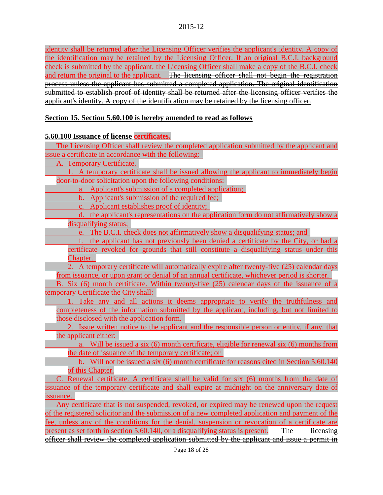identity shall be returned after the Licensing Officer verifies the applicant's identity. A copy of the identification may be retained by the Licensing Officer. If an original B.C.I. background check is submitted by the applicant, the Licensing Officer shall make a copy of the B.C.I. check and return the original to the applicant. The licensing officer shall not begin the registration process unless the applicant has submitted a completed application. The original identification submitted to establish proof of identity shall be returned after the licensing officer verifies the applicant's identity. A copy of the identification may be retained by the licensing officer.

## **Section 15. Section 5.60.100 is hereby amended to read as follows**

## **5.60.100 Issuance of license certificates.**

The Licensing Officer shall review the completed application submitted by the applicant and issue a certificate in accordance with the following:

A. Temporary Certificate.

1. A temporary certificate shall be issued allowing the applicant to immediately begin door-to-door solicitation upon the following conditions:

- a. Applicant's submission of a completed application;
- b. Applicant's submission of the required fee;
- c. Applicant establishes proof of identity;

d. the applicant's representations on the application form do not affirmatively show a disqualifying status;

e. The B.C.I. check does not affirmatively show a disqualifying status; and

f. the applicant has not previously been denied a certificate by the City, or had a certificate revoked for grounds that still constitute a disqualifying status under this Chapter.

2. A temporary certificate will automatically expire after twenty-five (25) calendar days from issuance, or upon grant or denial of an annual certificate, whichever period is shorter.

B. Six (6) month certificate. Within twenty-five (25) calendar days of the issuance of a temporary Certificate the City shall:

1. Take any and all actions it deems appropriate to verify the truthfulness and completeness of the information submitted by the applicant, including, but not limited to those disclosed with the application form.

2. Issue written notice to the applicant and the responsible person or entity, if any, that the applicant either:

a. Will be issued a six (6) month certificate, eligible for renewal six (6) months from the date of issuance of the temporary certificate; or

b. Will not be issued a six (6) month certificate for reasons cited in Section 5.60.140 of this Chapter.

C. Renewal certificate. A certificate shall be valid for six (6) months from the date of issuance of the temporary certificate and shall expire at midnight on the anniversary date of issuance.

Any certificate that is not suspended, revoked, or expired may be renewed upon the request of the registered solicitor and the submission of a new completed application and payment of the fee, unless any of the conditions for the denial, suspension or revocation of a certificate are present as set forth in section 5.60.140, or a disqualifying status is present.  $\overline{\phantom{a}}$  The licensing officer shall review the completed application submitted by the applicant and issue a permit in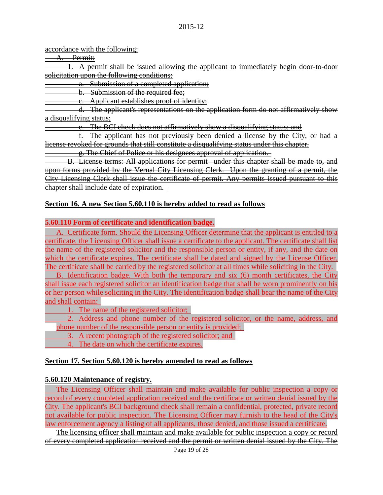#### accordance with the following:

Permit:

1. A permit shall be issued allowing the applicant to immediately begin door-to-door solicitation upon the following conditions:

a. Submission of a completed application;

b. Submission of the required fee;

c. Applicant establishes proof of identity;

d. The applicant's representations on the application form do not affirmatively show a disqualifying status;

The BCI check does not affirmatively show a disqualifying status; and

f. The applicant has not previously been denied a license by the City, or had a license revoked for grounds that still constitute a disqualifying status under this chapter.

g. The Chief of Police or his designees approval of application.

B. License terms: All applications for permit under this chapter shall be made to, and upon forms provided by the Vernal City Licensing Clerk. Upon the granting of a permit, the City Licensing Clerk shall issue the certificate of permit. Any permits issued pursuant to this chapter shall include date of expiration.

# **Section 16. A new Section 5.60.110 is hereby added to read as follows**

## **5.60.110 Form of certificate and identification badge.**

A. Certificate form. Should the Licensing Officer determine that the applicant is entitled to a certificate, the Licensing Officer shall issue a certificate to the applicant. The certificate shall list the name of the registered solicitor and the responsible person or entity, if any, and the date on which the certificate expires. The certificate shall be dated and signed by the License Officer. The certificate shall be carried by the registered solicitor at all times while soliciting in the City.

B. Identification badge. With both the temporary and six (6) month certificates, the City shall issue each registered solicitor an identification badge that shall be worn prominently on his or her person while soliciting in the City. The identification badge shall bear the name of the City and shall contain:

1. The name of the registered solicitor;

2. Address and phone number of the registered solicitor, or the name, address, and phone number of the responsible person or entity is provided;

3. A recent photograph of the registered solicitor; and

4. The date on which the certificate expires.

# **Section 17. Section 5.60.120 is hereby amended to read as follows**

# **5.60.120 Maintenance of registry.**

The Licensing Officer shall maintain and make available for public inspection a copy or record of every completed application received and the certificate or written denial issued by the City. The applicant's BCI background check shall remain a confidential, protected, private record not available for public inspection. The Licensing Officer may furnish to the head of the City's law enforcement agency a listing of all applicants, those denied, and those issued a certificate.

The licensing officer shall maintain and make available for public inspection a copy or record of every completed application received and the permit or written denial issued by the City. The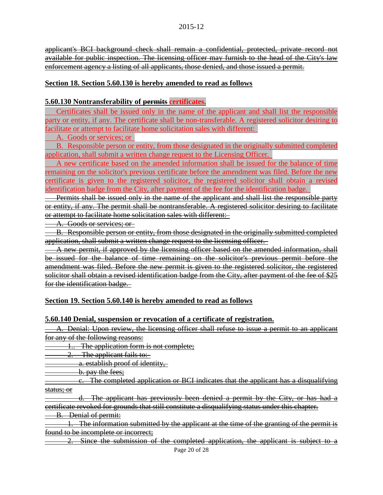applicant's BCI background check shall remain a confidential, protected, private record not available for public inspection. The licensing officer may furnish to the head of the City's law enforcement agency a listing of all applicants, those denied, and those issued a permit.

## **Section 18. Section 5.60.130 is hereby amended to read as follows**

## **5.60.130 Nontransferability of permits certificates.**

Certificates shall be issued only in the name of the applicant and shall list the responsible party or entity, if any. The certificate shall be non-transferable. A registered solicitor desiring to facilitate or attempt to facilitate home solicitation sales with different:

A. Goods or services; or

B. Responsible person or entity, from those designated in the originally submitted completed application, shall submit a written change request to the Licensing Officer.

A new certificate based on the amended information shall be issued for the balance of time remaining on the solicitor's previous certificate before the amendment was filed. Before the new certificate is given to the registered solicitor, the registered solicitor shall obtain a revised identification badge from the City, after payment of the fee for the identification badge.

Permits shall be issued only in the name of the applicant and shall list the responsible party or entity, if any. The permit shall be nontransferable. A registered solicitor desiring to facilitate or attempt to facilitate home solicitation sales with different:

A. Goods or services; or

B. Responsible person or entity, from those designated in the originally submitted completed application, shall submit a written change request to the licensing officer.

A new permit, if approved by the licensing officer based on the amended information, shall be issued for the balance of time remaining on the solicitor's previous permit before the amendment was filed. Before the new permit is given to the registered solicitor, the registered solicitor shall obtain a revised identification badge from the City, after payment of the fee of \$25 for the identification badge.

## **Section 19. Section 5.60.140 is hereby amended to read as follows**

## **5.60.140 Denial, suspension or revocation of a certificate of registration.**

A. Denial: Upon review, the licensing officer shall refuse to issue a permit to an applicant for any of the following reasons:

1.. The application form is not complete;

The applicant fails to:

a. establish proof of identity,

b. pay the fees;

c. The completed application or BCI indicates that the applicant has a disqualifying status; or

d. The applicant has previously been denied a permit by the City, or has had a certificate revoked for grounds that still constitute a disqualifying status under this chapter.

B. Denial of permit:

1. The information submitted by the applicant at the time of the granting of the permit is found to be incomplete or incorrect;

2. Since the submission of the completed application, the applicant is subject to a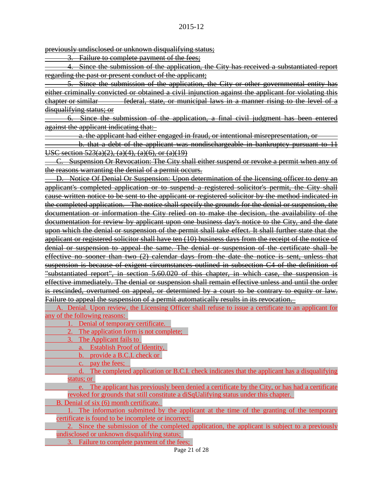previously undisclosed or unknown disqualifying status:

3. Failure to complete payment of the fees;

4. Since the submission of the application, the City has received a substantiated report regarding the past or present conduct of the applicant;

5. Since the submission of the application, the City or other governmental entity has either criminally convicted or obtained a civil injunction against the applicant for violating this chapter or similar federal, state, or municipal laws in a manner rising to the level of a disqualifying status; or

6. Since the submission of the application, a final civil judgment has been entered against the applicant indicating that:

a. the applicant had either engaged in fraud, or intentional misrepresentation, or

b. that a debt of the applicant was nondischargeable in bankruptcy pursuant to 11 USC section 523(a)(2), (a)(4), (a)(6), or (a)(19)

C. Suspension Or Revocation: The City shall either suspend or revoke a permit when any of the reasons warranting the denial of a permit occurs.

D. Notice Of Denial Or Suspension: Upon determination of the licensing officer to deny an applicant's completed application or to suspend a registered solicitor's permit, the City shall cause written notice to be sent to the applicant or registered solicitor by the method indicated in the completed application. The notice shall specify the grounds for the denial or suspension, the documentation or information the City relied on to make the decision, the availability of the documentation for review by applicant upon one business day's notice to the City, and the date upon which the denial or suspension of the permit shall take effect. It shall further state that the applicant or registered solicitor shall have ten (10) business days from the receipt of the notice of denial or suspension to appeal the same. The denial or suspension of the certificate shall be effective no sooner than two (2) calendar days from the date the notice is sent, unless that suspension is because of exigent circumstances outlined in subsection C4 of the definition of "substantiated report", in section 5.60.020 of this chapter, in which case, the suspension is effective immediately. The denial or suspension shall remain effective unless and until the order is rescinded, overturned on appeal, or determined by a court to be contrary to equity or law. Failure to appeal the suspension of a permit automatically results in its revocation.

A. Denial. Upon review, the Licensing Officer shall refuse to issue a certificate to an applicant for any of the following reasons:

1. Denial of temporary certificate.

- 2. The application form is not complete;
- 3. The Applicant fails to
	- a. Establish Proof of Identity,
		- b. provide a B.C.I. check or
	- c. pay the fees;
- d. The completed application or B.C.I. check indicates that the applicant has a disqualifying status; or

e. The applicant has previously been denied a certificate by the City, or has had a certificate revoked for grounds that still constitute a diSqUalifying status under this chapter.

B. Denial of six (6) month certificate.

1. The information submitted by the applicant at the time of the granting of the temporary certificate is found to be incomplete or incorrect;

2. Since the submission of the completed application, the applicant is subject to a previously undisclosed or unknown disqualifying status;

3. Failure to complete payment of the fees;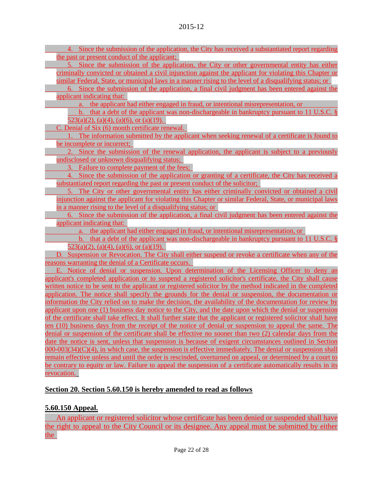4. Since the submission of the application, the City has received a substantiated report regarding the past or present conduct of the applicant;

5. Since the submission of the application, the City or other governmental entity has either criminally convicted or obtained a civil injunction against the applicant for violating this Chapter or similar Federal, State, or municipal laws in a manner rising to the level of a disqualifying status; or

6. Since the submission of the application, a final civil judgment has been entered against the applicant indicating that:

a. the applicant had either engaged in fraud, or intentional misrepresentation, or

b. that a debt of the applicant was non-dischargeable in bankruptcy pursuant to 11 U.S.C. §  $523(a)(2)$ ,  $(a)(4)$ ,  $(a)(6)$ , or  $(a)(19)$ .

C. Denial of Six (6) month certificate renewal.

1. The information submitted by the applicant when seeking renewal of a certificate is found to be incomplete or incorrect;

2. Since the submission of the renewal application, the applicant is subject to a previously undisclosed or unknown disqualifying status;

3. Failure to complete payment of the fees;

4. Since the submission of the application or granting of a certificate, the City has received a substantiated report regarding the past or present conduct of the solicitor;

5. The City or other governmental entity has either criminally convicted or obtained a civil injunction against the applicant for violating this Chapter or similar Federal, State, or municipal laws in a manner rising to the level of a disqualifying status; or

6. Since the submission of the application, a final civil judgment has been entered against the applicant indicating that:

a. the applicant had either engaged in fraud, or intentional misrepresentation, or

b. that a debt of the applicant was non-dischargeable in bankruptcy pursuant to 11 U.S.C. §  $523(a)(2)$ ,  $(a)(4)$ ,  $(a)(6)$ , or  $(a)(19)$ .

D. Suspension or Revocation. The City shall either suspend or revoke a certificate when any of the reasons warranting the denial of a Certificate occurs.

E. Notice of denial or suspension. Upon determination of the Licensing Officer to deny an applicant's completed application or to suspend a registered solicitor's certificate, the City shall cause written notice to be sent to the applicant or registered solicitor by the method indicated in the completed application. The notice shall specify the grounds for the denial or suspension, the documentation or information the City relied on to make the decision, the availability of the documentation for review by applicant upon one (1) business day notice to the City, and the date upon which the denial or suspension of the certificate shall take effect. It shall further state that the applicant or registered solicitor shall have ten (10) business days from the receipt of the notice of denial or suspension to appeal the same. The denial or suspension of the certificate shall be effective no sooner than two (2) calendar days from the date the notice is sent, unless that suspension is because of exigent circumstances outlined in Section 000-003(34)(C)(4), in which case, the suspension is effective immediately. The denial or suspension shall remain effective unless and until the order is rescinded, overturned on appeal, or determined by a court to be contrary to equity or law. Failure to appeal the suspension of a certificate automatically results in its revocation.

# **Section 20. Section 5.60.150 is hereby amended to read as follows**

# **5.60.150 Appeal.**

An applicant or registered solicitor whose certificate has been denied or suspended shall have the right to appeal to the City Council or its designee. Any appeal must be submitted by either the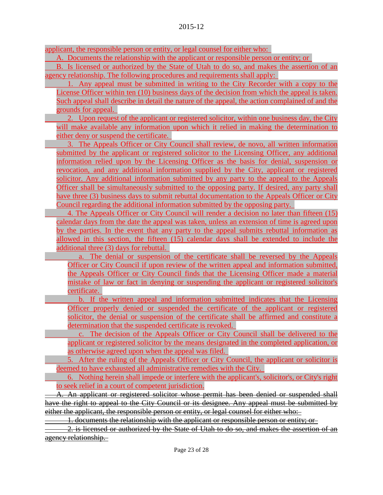applicant, the responsible person or entity, or legal counsel for either who:

A. Documents the relationship with the applicant or responsible person or entity; or

B. Is licensed or authorized by the State of Utah to do so, and makes the assertion of an agency relationship. The following procedures and requirements shall apply:

1. Any appeal must be submitted in writing to the City Recorder with a copy to the License Officer within ten (10) business days of the decision from which the appeal is taken. Such appeal shall describe in detail the nature of the appeal, the action complained of and the grounds for appeal.

2. Upon request of the applicant or registered solicitor, within one business day, the City will make available any information upon which it relied in making the determination to either deny or suspend the certificate.

3. The Appeals Officer or City Council shall review, de novo, all written information submitted by the applicant or registered solicitor to the Licensing Officer, any additional information relied upon by the Licensing Officer as the basis for denial, suspension or revocation, and any additional information supplied by the City, applicant or registered solicitor. Any additional information submitted by any party to the appeal to the Appeals Officer shall be simultaneously submitted to the opposing party. If desired, any party shall have three (3) business days to submit rebuttal documentation to the Appeals Officer or City Council regarding the additional information submitted by the opposing party.

4. The Appeals Officer or City Council will render a decision no later than fifteen (15) calendar days from the date the appeal was taken, unless an extension of time is agreed upon by the parties. In the event that any party to the appeal submits rebuttal information as allowed in this section, the fifteen (15) calendar days shall be extended to include the additional three (3) days for rebuttal.

a. The denial or suspension of the certificate shall be reversed by the Appeals Officer or City Council if upon review of the written appeal and information submitted, the Appeals Officer or City Council finds that the Licensing Officer made a material mistake of law or fact in denying or suspending the applicant or registered solicitor's certificate.

b. If the written appeal and information submitted indicates that the Licensing Officer properly denied or suspended the certificate of the applicant or registered solicitor, the denial or suspension of the certificate shall be affirmed and constitute a determination that the suspended certificate is revoked.

c. The decision of the Appeals Officer or City Council shall be delivered to the applicant or registered solicitor by the means designated in the completed application, or as otherwise agreed upon when the appeal was filed.

5. After the ruling of the Appeals Officer or City Council, the applicant or solicitor is deemed to have exhausted all administrative remedies with the City.

6. Nothing herein shall impede or interfere with the applicant's, solicitor's, or City's right to seek relief in a court of competent jurisdiction.

A. An applicant or registered solicitor whose permit has been denied or suspended shall have the right to appeal to the City Council or its designee. Any appeal must be submitted by either the applicant, the responsible person or entity, or legal counsel for either who:

1. documents the relationship with the applicant or responsible person or entity; or

2. is licensed or authorized by the State of Utah to do so, and makes the assertion of an agency relationship.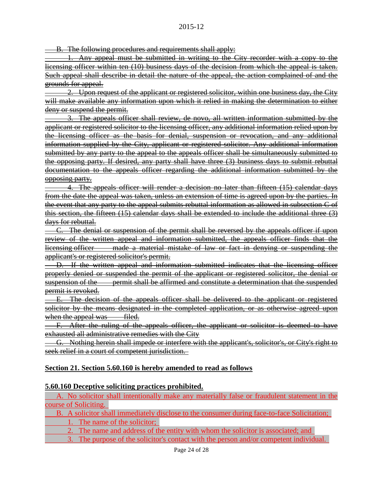B. The following procedures and requirements shall apply:

Any appeal must be submitted in writing to the City recorder with a copy to the licensing officer within ten (10) business days of the decision from which the appeal is taken. Such appeal shall describe in detail the nature of the appeal, the action complained of and the grounds for appeal.

2. Upon request of the applicant or registered solicitor, within one business day, the City will make available any information upon which it relied in making the determination to either deny or suspend the permit.

3. The appeals officer shall review, de novo, all written information submitted by the applicant or registered solicitor to the licensing officer, any additional information relied upon by the licensing officer as the basis for denial, suspension or revocation, and any additional information supplied by the City, applicant or registered solicitor. Any additional information submitted by any party to the appeal to the appeals officer shall be simultaneously submitted to the opposing party. If desired, any party shall have three (3) business days to submit rebuttal documentation to the appeals officer regarding the additional information submitted by the opposing party.

4. The appeals officer will render a decision no later than fifteen (15) calendar days from the date the appeal was taken, unless an extension of time is agreed upon by the parties. In the event that any party to the appeal submits rebuttal information as allowed in subsection C of this section, the fifteen (15) calendar days shall be extended to include the additional three (3) days for rebuttal.

C. The denial or suspension of the permit shall be reversed by the appeals officer if upon review of the written appeal and information submitted, the appeals officer finds that the licensing officer made a material mistake of law or fact in denying or suspending the applicant's or registered solicitor's permit.

D. If the written appeal and information submitted indicates that the licensing officer properly denied or suspended the permit of the applicant or registered solicitor, the denial or suspension of the permit shall be affirmed and constitute a determination that the suspended permit is revoked.

E. The decision of the appeals officer shall be delivered to the applicant or registered solicitor by the means designated in the completed application, or as otherwise agreed upon when the appeal was filed.

F. After the ruling of the appeals officer, the applicant or solicitor is deemed to have exhausted all administrative remedies with the City

G. Nothing herein shall impede or interfere with the applicant's, solicitor's, or City's right to seek relief in a court of competent jurisdiction.

## **Section 21. Section 5.60.160 is hereby amended to read as follows**

#### **5.60.160 Deceptive soliciting practices prohibited.**

A. No solicitor shall intentionally make any materially false or fraudulent statement in the course of Soliciting.

B. A solicitor shall immediately disclose to the consumer during face-to-face Solicitation; 1. The name of the solicitor;

2. The name and address of the entity with whom the solicitor is associated; and

3. The purpose of the solicitor's contact with the person and/or competent individual.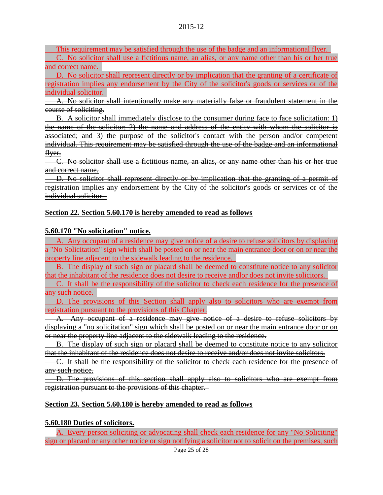This requirement may be satisfied through the use of the badge and an informational flyer.

C. No solicitor shall use a fictitious name, an alias, or any name other than his or her true and correct name.

D. No solicitor shall represent directly or by implication that the granting of a certificate of registration implies any endorsement by the City of the solicitor's goods or services or of the individual solicitor.

A. No solicitor shall intentionally make any materially false or fraudulent statement in the course of soliciting.

B. A solicitor shall immediately disclose to the consumer during face to face solicitation: 1) the name of the solicitor; 2) the name and address of the entity with whom the solicitor is associated; and 3) the purpose of the solicitor's contact with the person and/or competent individual. This requirement may be satisfied through the use of the badge and an informational flyer.

C. No solicitor shall use a fictitious name, an alias, or any name other than his or her true and correct name.

D. No solicitor shall represent directly or by implication that the granting of a permit of registration implies any endorsement by the City of the solicitor's goods or services or of the individual solicitor.

## **Section 22. Section 5.60.170 is hereby amended to read as follows**

## **5.60.170 "No solicitation" notice.**

A. Any occupant of a residence may give notice of a desire to refuse solicitors by displaying a "No Solicitation" sign which shall be posted on or near the main entrance door or on or near the property line adjacent to the sidewalk leading to the residence.

B. The display of such sign or placard shall be deemed to constitute notice to any solicitor that the inhabitant of the residence does not desire to receive andlor does not invite solicitors.

C. It shall be the responsibility of the solicitor to check each residence for the presence of any such notice.

D. The provisions of this Section shall apply also to solicitors who are exempt from registration pursuant to the provisions of this Chapter.

A. Any occupant of a residence may give notice of a desire to refuse solicitors by displaying a "no solicitation" sign which shall be posted on or near the main entrance door or on or near the property line adjacent to the sidewalk leading to the residence.

B. The display of such sign or placard shall be deemed to constitute notice to any solicitor that the inhabitant of the residence does not desire to receive and/or does not invite solicitors.

C. It shall be the responsibility of the solicitor to check each residence for the presence of any such notice.

D. The provisions of this section shall apply also to solicitors who are exempt from registration pursuant to the provisions of this chapter.

## **Section 23. Section 5.60.180 is hereby amended to read as follows**

## **5.60.180 Duties of solicitors.**

A. Every person soliciting or advocating shall check each residence for any "No Soliciting" sign or placard or any other notice or sign notifying a solicitor not to solicit on the premises, such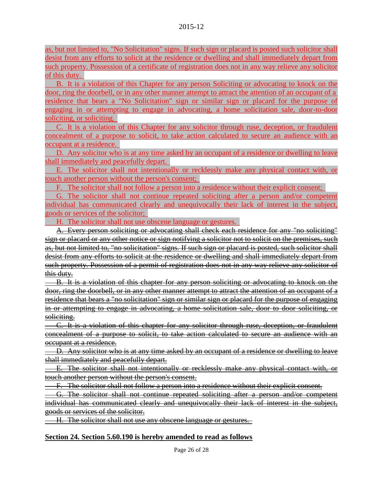as, but not limited to, "No Solicitation" signs. If such sign or placard is posted such solicitor shall desist from any efforts to solicit at the residence or dwelling and shall immediately depart from such property. Possession of a certificate of registration does not in any way relieve any solicitor of this duty.

B. It is a violation of this Chapter for any person Soliciting or advocating to knock on the door, ring the doorbell, or in any other manner attempt to attract the attention of an occupant of a residence that bears a "No Solicitation" sign or similar sign or placard for the purpose of engaging in or attempting to engage in advocating, a home solicitation sale, door-to-door soliciting, or soliciting.

C. It is a violation of this Chapter for any solicitor through ruse, deception, or fraudulent concealment of a purpose to solicit, to take action calculated to secure an audience with an occupant at a residence.

D. Any solicitor who is at any time asked by an occupant of a residence or dwelling to leave shall immediately and peacefully depart.

E. The solicitor shall not intentionally or recklessly make any physical contact with, or touch another person without the person's consent;

F. The solicitor shall not follow a person into a residence without their explicit consent;

G. The solicitor shall not continue repeated soliciting after a person and/or competent individual has communicated clearly and unequivocally their lack of interest in the subject, goods or services of the solicitor;

H. The solicitor shall not use obscene language or gestures.

A. Every person soliciting or advocating shall check each residence for any "no soliciting" sign or placard or any other notice or sign notifying a solicitor not to solicit on the premises, such as, but not limited to, "no solicitation" signs. If such sign or placard is posted, such solicitor shall desist from any efforts to solicit at the residence or dwelling and shall immediately depart from such property. Possession of a permit of registration does not in any way relieve any solicitor of this duty.

B. It is a violation of this chapter for any person soliciting or advocating to knock on the door, ring the doorbell, or in any other manner attempt to attract the attention of an occupant of a residence that bears a "no solicitation" sign or similar sign or placard for the purpose of engaging in or attempting to engage in advocating, a home solicitation sale, door to door soliciting, or soliciting.

C. It is a violation of this chapter for any solicitor through ruse, deception, or fraudulent concealment of a purpose to solicit, to take action calculated to secure an audience with an occupant at a residence.

D. Any solicitor who is at any time asked by an occupant of a residence or dwelling to leave shall immediately and peacefully depart.

E. The solicitor shall not intentionally or recklessly make any physical contact with, or touch another person without the person's consent.

F. The solicitor shall not follow a person into a residence without their explicit consent.

G. The solicitor shall not continue repeated soliciting after a person and/or competent individual has communicated clearly and unequivocally their lack of interest in the subject, goods or services of the solicitor.

H. The solicitor shall not use any obscene language or gestures.

## **Section 24. Section 5.60.190 is hereby amended to read as follows**

Page 26 of 28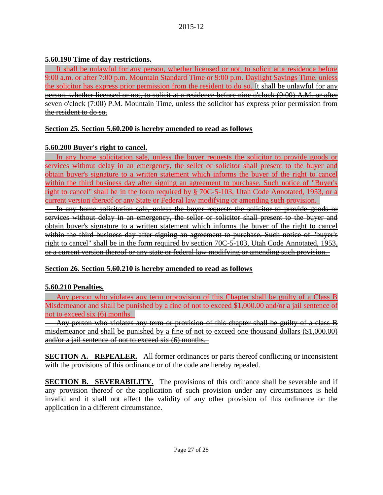## **5.60.190 Time of day restrictions.**

It shall be unlawful for any person, whether licensed or not, to solicit at a residence before 9:00 a.m. or after 7:00 p.m. Mountain Standard Time or 9:00 p.m. Daylight Savings Time, unless the solicitor has express prior permission from the resident to do so. It shall be unlawful for any person, whether licensed or not, to solicit at a residence before nine o'clock (9:00) A.M. or after seven o'clock (7:00) P.M. Mountain Time, unless the solicitor has express prior permission from the resident to do so.

# **Section 25. Section 5.60.200 is hereby amended to read as follows**

## **5.60.200 Buyer's right to cancel.**

In any home solicitation sale, unless the buyer requests the solicitor to provide goods or services without delay in an emergency, the seller or solicitor shall present to the buyer and obtain buyer's signature to a written statement which informs the buyer of the right to cancel within the third business day after signing an agreement to purchase. Such notice of "Buyer's right to cancel" shall be in the form required by § 70C-5-103, Utah Code Annotated, 1953, or a current version thereof or any State or Federal law modifying or amending such provision.

In any home solicitation sale, unless the buyer requests the solicitor to provide goods or services without delay in an emergency, the seller or solicitor shall present to the buyer and obtain buyer's signature to a written statement which informs the buyer of the right to cancel within the third business day after signing an agreement to purchase. Such notice of "buyer's right to cancel" shall be in the form required by section 70C-5-103. Utah Code Annotated, 1953, or a current version thereof or any state or federal law modifying or amending such provision.

# **Section 26. Section 5.60.210 is hereby amended to read as follows**

# **5.60.210 Penalties.**

Any person who violates any term orprovision of this Chapter shall be guilty of a Class B Misdemeanor and shall be punished by a fine of not to exceed \$1,000.00 and/or a jail sentence of not to exceed six (6) months.

Any person who violates any term or provision of this chapter shall be guilty of a class **B** misdemeanor and shall be punished by a fine of not to exceed one thousand dollars (\$1,000.00) and/or a jail sentence of not to exceed six (6) months.

**SECTION A. REPEALER.** All former ordinances or parts thereof conflicting or inconsistent with the provisions of this ordinance or of the code are hereby repealed.

**SECTION B. SEVERABILITY.** The provisions of this ordinance shall be severable and if any provision thereof or the application of such provision under any circumstances is held invalid and it shall not affect the validity of any other provision of this ordinance or the application in a different circumstance.